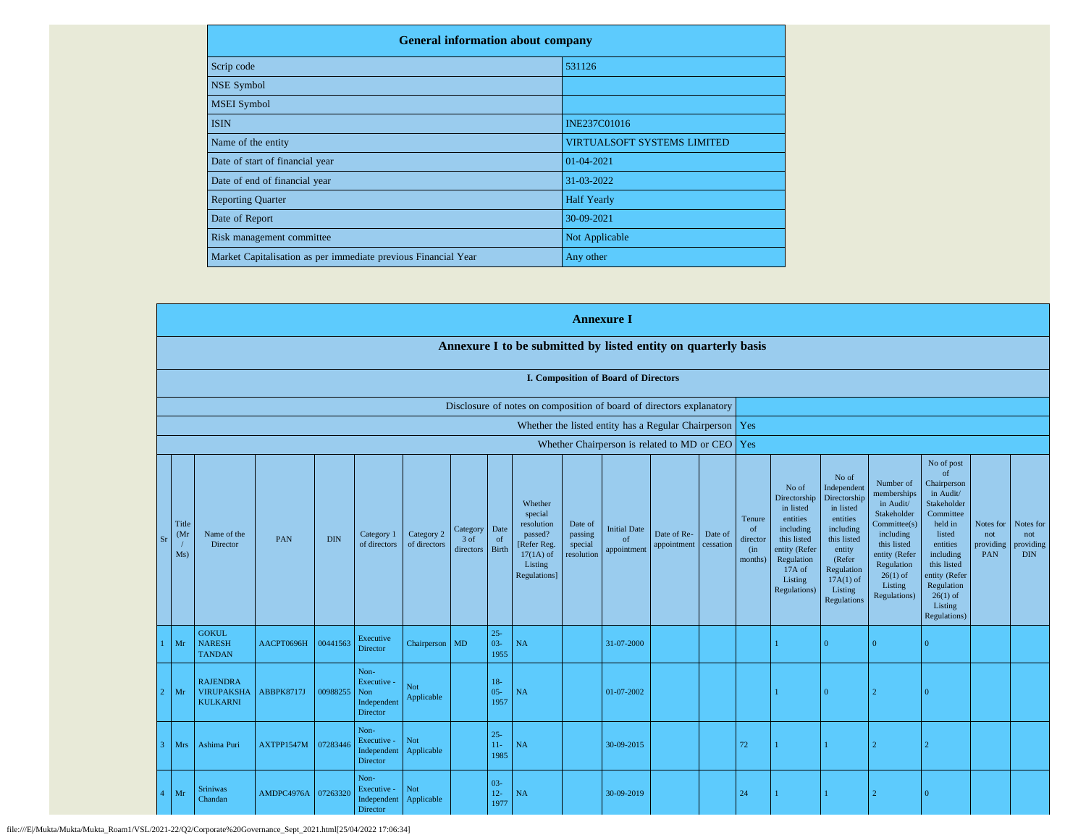| <b>General information about company</b>                       |                                    |  |  |  |  |  |
|----------------------------------------------------------------|------------------------------------|--|--|--|--|--|
| Scrip code                                                     | 531126                             |  |  |  |  |  |
| <b>NSE Symbol</b>                                              |                                    |  |  |  |  |  |
| <b>MSEI</b> Symbol                                             |                                    |  |  |  |  |  |
| <b>ISIN</b>                                                    | <b>INE237C01016</b>                |  |  |  |  |  |
| Name of the entity                                             | <b>VIRTUALSOFT SYSTEMS LIMITED</b> |  |  |  |  |  |
| Date of start of financial year                                | 01-04-2021                         |  |  |  |  |  |
| Date of end of financial year                                  | 31-03-2022                         |  |  |  |  |  |
| <b>Reporting Quarter</b>                                       | <b>Half Yearly</b>                 |  |  |  |  |  |
| Date of Report                                                 | 30-09-2021                         |  |  |  |  |  |
| Risk management committee                                      | Not Applicable                     |  |  |  |  |  |
| Market Capitalisation as per immediate previous Financial Year | Any other                          |  |  |  |  |  |

|                              |                                                         |            |            |                                                           |                            |                               |                            |                                                                                                      |                                             | <b>Annexure I</b>                           |                                                           |                      |                                            |                                                                                                                                                |                                                                                                                                                                             |                                                                                                                                                                          |                                                                                                                                                                                                               |                                             |                                             |
|------------------------------|---------------------------------------------------------|------------|------------|-----------------------------------------------------------|----------------------------|-------------------------------|----------------------------|------------------------------------------------------------------------------------------------------|---------------------------------------------|---------------------------------------------|-----------------------------------------------------------|----------------------|--------------------------------------------|------------------------------------------------------------------------------------------------------------------------------------------------|-----------------------------------------------------------------------------------------------------------------------------------------------------------------------------|--------------------------------------------------------------------------------------------------------------------------------------------------------------------------|---------------------------------------------------------------------------------------------------------------------------------------------------------------------------------------------------------------|---------------------------------------------|---------------------------------------------|
|                              |                                                         |            |            |                                                           |                            |                               |                            | Annexure I to be submitted by listed entity on quarterly basis                                       |                                             |                                             |                                                           |                      |                                            |                                                                                                                                                |                                                                                                                                                                             |                                                                                                                                                                          |                                                                                                                                                                                                               |                                             |                                             |
|                              |                                                         |            |            |                                                           |                            |                               |                            |                                                                                                      |                                             | <b>I. Composition of Board of Directors</b> |                                                           |                      |                                            |                                                                                                                                                |                                                                                                                                                                             |                                                                                                                                                                          |                                                                                                                                                                                                               |                                             |                                             |
|                              |                                                         |            |            |                                                           |                            |                               |                            | Disclosure of notes on composition of board of directors explanatory                                 |                                             |                                             |                                                           |                      |                                            |                                                                                                                                                |                                                                                                                                                                             |                                                                                                                                                                          |                                                                                                                                                                                                               |                                             |                                             |
|                              |                                                         |            |            |                                                           |                            |                               |                            |                                                                                                      |                                             |                                             | Whether the listed entity has a Regular Chairperson   Yes |                      |                                            |                                                                                                                                                |                                                                                                                                                                             |                                                                                                                                                                          |                                                                                                                                                                                                               |                                             |                                             |
|                              |                                                         |            |            |                                                           |                            |                               |                            |                                                                                                      |                                             |                                             | Whether Chairperson is related to MD or CEO Yes           |                      |                                            |                                                                                                                                                |                                                                                                                                                                             |                                                                                                                                                                          |                                                                                                                                                                                                               |                                             |                                             |
| Title<br>(Mr<br>$S_I$<br>Ms) | Name of the<br>Director                                 | <b>PAN</b> | <b>DIN</b> | Category 1<br>of directors                                | Category 2<br>of directors | Category<br>3 of<br>directors | Date<br>of<br><b>Birth</b> | Whether<br>special<br>resolution<br>passed?<br>[Refer Reg.<br>$17(1A)$ of<br>Listing<br>Regulations] | Date of<br>passing<br>special<br>resolution | <b>Initial Date</b><br>of<br>appointment    | Date of Re-<br>appointment                                | Date of<br>cessation | Tenure<br>of<br>director<br>(in<br>months) | No of<br>Directorship<br>in listed<br>entities<br>including<br>this listed<br>entity (Refer<br>Regulation<br>17A of<br>Listing<br>Regulations) | No of<br>Independent<br>Directorship<br>in listed<br>entities<br>including<br>this listed<br>entity<br>(Refer<br>Regulation<br>$17A(1)$ of<br>Listing<br><b>Regulations</b> | Number of<br>memberships<br>in Audit/<br>Stakeholder<br>Committee(s)<br>including<br>this listed<br>entity (Refer<br>Regulation<br>$26(1)$ of<br>Listing<br>Regulations) | No of post<br>of<br>Chairperson<br>in Audit/<br>Stakeholder<br>Committee<br>held in<br>listed<br>entities<br>including<br>this listed<br>entity (Refer<br>Regulation<br>$26(1)$ of<br>Listing<br>Regulations) | Notes for<br>not<br>providing<br><b>PAN</b> | Notes for<br>not<br>providing<br><b>DIN</b> |
| Mr                           | <b>GOKUL</b><br><b>NARESH</b><br><b>TANDAN</b>          | AACPT0696H | 00441563   | Executive<br>Director                                     | Chairperson MD             |                               | $25 -$<br>$03 -$<br>1955   | NA                                                                                                   |                                             | 31-07-2000                                  |                                                           |                      |                                            |                                                                                                                                                | $\overline{0}$                                                                                                                                                              | $\Omega$                                                                                                                                                                 | $\overline{0}$                                                                                                                                                                                                |                                             |                                             |
| Mr                           | <b>RAJENDRA</b><br><b>VIRUPAKSHA</b><br><b>KULKARNI</b> | ABBPK8717J | 00988255   | Non-<br>Executive -<br>Non<br>Independent<br>Director     | Not<br>Applicable          |                               | $18-$<br>$05 -$<br>1957    | NA                                                                                                   |                                             | 01-07-2002                                  |                                                           |                      |                                            |                                                                                                                                                | $\Omega$                                                                                                                                                                    | $\mathcal{D}$                                                                                                                                                            | $\overline{0}$                                                                                                                                                                                                |                                             |                                             |
| Mrs                          | Ashima Puri                                             | AXTPP1547M | 07283446   | Non-<br>Executive -<br>Independent<br>Director            | Not<br>Applicable          |                               | $25 -$<br>$11-$<br>1985    | NA                                                                                                   |                                             | 30-09-2015                                  |                                                           |                      | 72                                         |                                                                                                                                                | 1                                                                                                                                                                           |                                                                                                                                                                          |                                                                                                                                                                                                               |                                             |                                             |
| Mr                           | <b>Sriniwas</b><br>Chandan                              | AMDPC4976A | 07263320   | Non-<br>Executive -<br>Independent Applicable<br>Director | Not                        |                               | $03 -$<br>$12 -$<br>1977   | NA                                                                                                   |                                             | 30-09-2019                                  |                                                           |                      | 24                                         |                                                                                                                                                |                                                                                                                                                                             |                                                                                                                                                                          | $\Omega$                                                                                                                                                                                                      |                                             |                                             |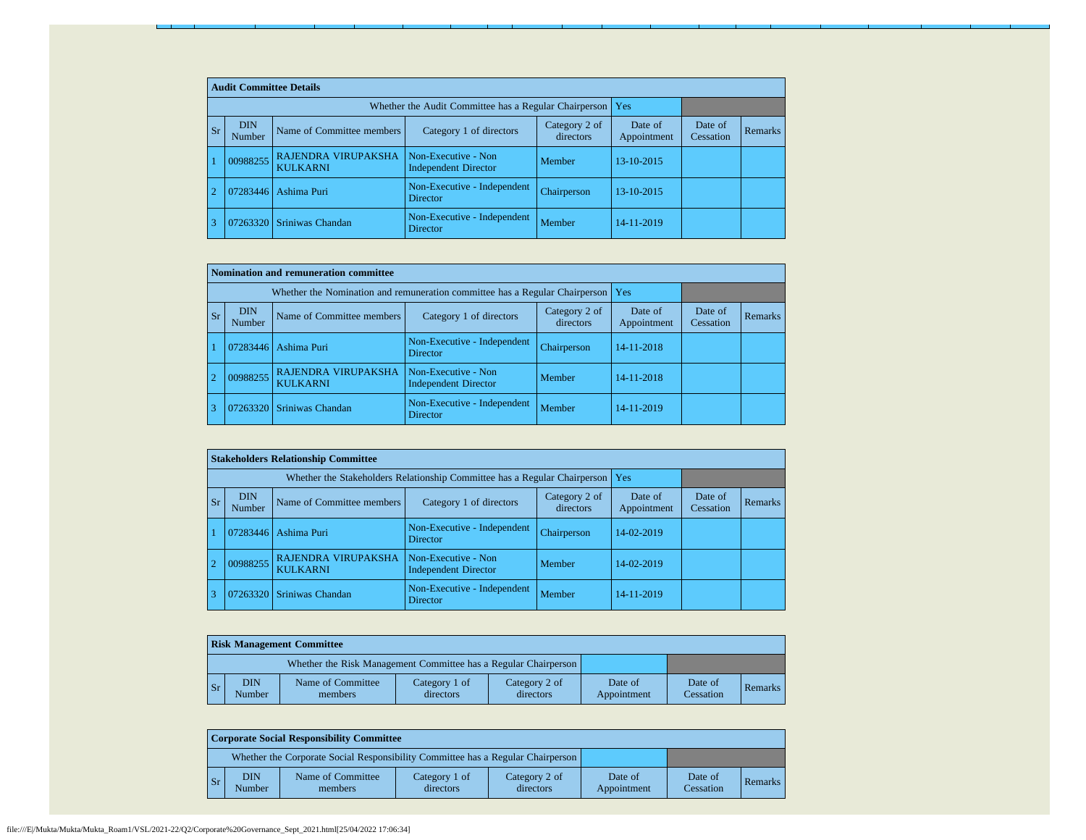|           | <b>Audit Committee Details</b> |                                        |                                                             |                            |                        |                      |                |  |  |
|-----------|--------------------------------|----------------------------------------|-------------------------------------------------------------|----------------------------|------------------------|----------------------|----------------|--|--|
|           |                                |                                        | Whether the Audit Committee has a Regular Chairperson   Yes |                            |                        |                      |                |  |  |
| <b>Sr</b> | <b>DIN</b><br>Number           | Name of Committee members              | Category 1 of directors                                     | Category 2 of<br>directors | Date of<br>Appointment | Date of<br>Cessation | <b>Remarks</b> |  |  |
|           | 00988255                       | RAJENDRA VIRUPAKSHA<br><b>KULKARNI</b> | Non-Executive - Non<br><b>Independent Director</b>          | Member                     | 13-10-2015             |                      |                |  |  |
|           | 07283446                       | Ashima Puri                            | Non-Executive - Independent<br><b>Director</b>              | Chairperson                | 13-10-2015             |                      |                |  |  |
|           | 07263320                       | Sriniwas Chandan                       | Non-Executive - Independent<br><b>Director</b>              | Member                     | 14-11-2019             |                      |                |  |  |

|                | Nomination and remuneration committee                                       |                                               |                                                    |                            |                        |                      |         |  |  |
|----------------|-----------------------------------------------------------------------------|-----------------------------------------------|----------------------------------------------------|----------------------------|------------------------|----------------------|---------|--|--|
|                | Whether the Nomination and remuneration committee has a Regular Chairperson | l Yes                                         |                                                    |                            |                        |                      |         |  |  |
| <b>Sr</b>      | <b>DIN</b><br>Number                                                        | Name of Committee members                     | Category 1 of directors                            | Category 2 of<br>directors | Date of<br>Appointment | Date of<br>Cessation | Remarks |  |  |
|                | 07283446                                                                    | Ashima Puri                                   | Non-Executive - Independent<br><b>Director</b>     | Chairperson                | 14-11-2018             |                      |         |  |  |
| $\overline{2}$ | 00988255                                                                    | <b>RAJENDRA VIRUPAKSHA</b><br><b>KULKARNI</b> | Non-Executive - Non<br><b>Independent Director</b> | Member                     | 14-11-2018             |                      |         |  |  |
|                | 07263320                                                                    | Sriniwas Chandan                              | Non-Executive - Independent<br>Director            | Member                     | 14-11-2019             |                      |         |  |  |

|                |           | <b>Stakeholders Relationship Committee</b> |                                        |                                                                                 |                            |                        |                      |         |  |
|----------------|-----------|--------------------------------------------|----------------------------------------|---------------------------------------------------------------------------------|----------------------------|------------------------|----------------------|---------|--|
|                |           |                                            |                                        | Whether the Stakeholders Relationship Committee has a Regular Chairperson   Yes |                            |                        |                      |         |  |
|                | <b>Sr</b> | <b>DIN</b><br>Number                       | Name of Committee members              | Category 1 of directors                                                         | Category 2 of<br>directors | Date of<br>Appointment | Date of<br>Cessation | Remarks |  |
|                |           | 07283446                                   | Ashima Puri                            | Non-Executive - Independent<br><b>Director</b>                                  | Chairperson                | 14-02-2019             |                      |         |  |
| $\overline{2}$ |           | 00988255                                   | RAJENDRA VIRUPAKSHA<br><b>KULKARNI</b> | Non-Executive - Non<br><b>Independent Director</b>                              | Member                     | 14-02-2019             |                      |         |  |
| 3              |           |                                            | 07263320 Sriniwas Chandan              | Non-Executive - Independent<br><b>Director</b>                                  | Member                     | 14-11-2019             |                      |         |  |

|                | <b>Risk Management Committee</b> |                                                                 |                            |                            |                        |                      |         |  |  |
|----------------|----------------------------------|-----------------------------------------------------------------|----------------------------|----------------------------|------------------------|----------------------|---------|--|--|
|                |                                  | Whether the Risk Management Committee has a Regular Chairperson |                            |                            |                        |                      |         |  |  |
| $\mathsf{S}$ r | <b>DIN</b><br>Number             | Name of Committee<br>members                                    | Category 1 of<br>directors | Category 2 of<br>directors | Date of<br>Appointment | Date of<br>Cessation | Remarks |  |  |

|                | <b>Corporate Social Responsibility Committee</b> |                                                                                 |                            |                            |                        |                      |                |  |
|----------------|--------------------------------------------------|---------------------------------------------------------------------------------|----------------------------|----------------------------|------------------------|----------------------|----------------|--|
|                |                                                  | Whether the Corporate Social Responsibility Committee has a Regular Chairperson |                            |                            |                        |                      |                |  |
| $\mathsf{S}_r$ | <b>DIN</b><br>Number                             | Name of Committee<br>members                                                    | Category 1 of<br>directors | Category 2 of<br>directors | Date of<br>Appointment | Date of<br>Cessation | <b>Remarks</b> |  |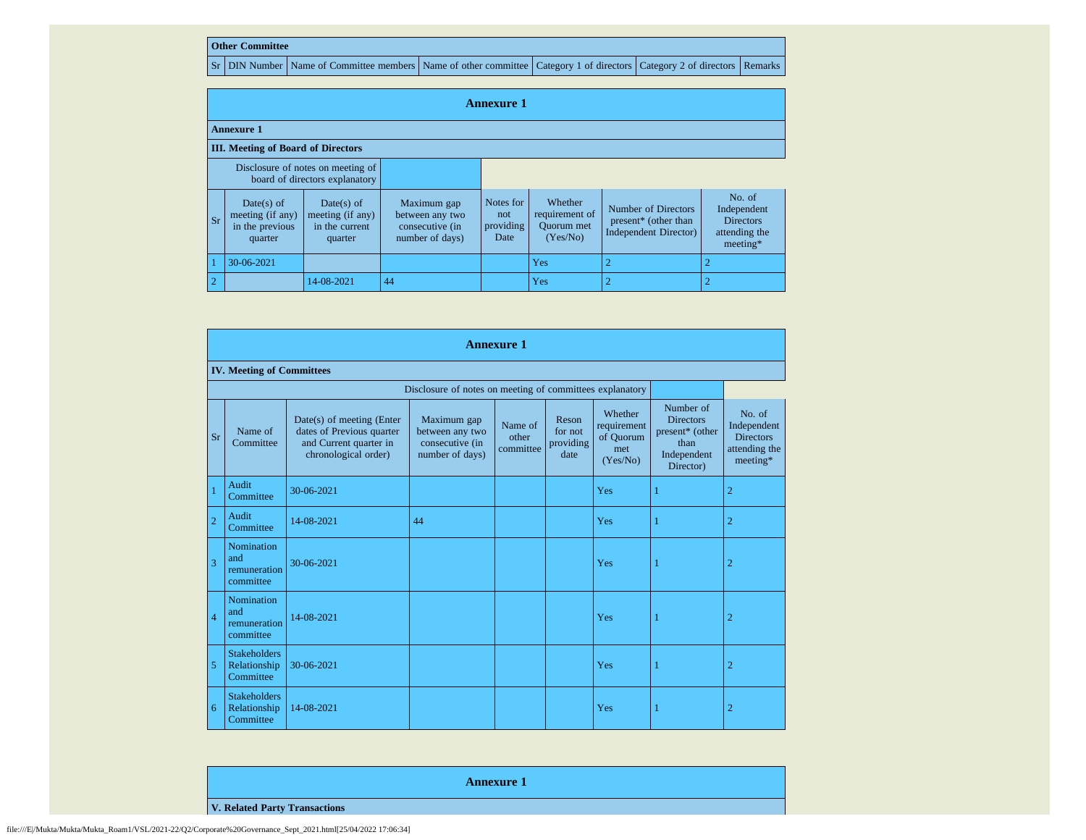## **Other Committee**

Sr DIN Number Name of Committee members Name of other committee Category 1 of directors Category 2 of directors Remarks

|                                                                     | <b>Annexure 1</b>                                            |                                                             |                                                                      |                                       |                                                            |                                                                              |                                                                        |
|---------------------------------------------------------------------|--------------------------------------------------------------|-------------------------------------------------------------|----------------------------------------------------------------------|---------------------------------------|------------------------------------------------------------|------------------------------------------------------------------------------|------------------------------------------------------------------------|
|                                                                     | <b>Annexure 1</b>                                            |                                                             |                                                                      |                                       |                                                            |                                                                              |                                                                        |
|                                                                     | <b>III.</b> Meeting of Board of Directors                    |                                                             |                                                                      |                                       |                                                            |                                                                              |                                                                        |
| Disclosure of notes on meeting of<br>board of directors explanatory |                                                              |                                                             |                                                                      |                                       |                                                            |                                                                              |                                                                        |
| Sr                                                                  | Date(s) of<br>meeting (if any)<br>in the previous<br>quarter | Date(s) of<br>meeting (if any)<br>in the current<br>quarter | Maximum gap<br>between any two<br>consecutive (in<br>number of days) | Notes for<br>not<br>providing<br>Date | Whether<br>requirement of<br><b>Ouorum</b> met<br>(Yes/No) | Number of Directors<br>present* (other than<br><b>Independent Director</b> ) | No. of<br>Independent<br><b>Directors</b><br>attending the<br>meeting* |
|                                                                     | 30-06-2021                                                   |                                                             |                                                                      |                                       | Yes                                                        | 2                                                                            |                                                                        |
| $\sqrt{2}$                                                          |                                                              | 14-08-2021                                                  | 44                                                                   |                                       | Yes                                                        | $\overline{2}$                                                               |                                                                        |

|                | <b>Annexure 1</b>                                |                                                                                                          |                                                                      |                               |                                       |                                                        |                                                                                      |                                                                        |  |
|----------------|--------------------------------------------------|----------------------------------------------------------------------------------------------------------|----------------------------------------------------------------------|-------------------------------|---------------------------------------|--------------------------------------------------------|--------------------------------------------------------------------------------------|------------------------------------------------------------------------|--|
|                | <b>IV. Meeting of Committees</b>                 |                                                                                                          |                                                                      |                               |                                       |                                                        |                                                                                      |                                                                        |  |
|                |                                                  |                                                                                                          | Disclosure of notes on meeting of committees explanatory             |                               |                                       |                                                        |                                                                                      |                                                                        |  |
| <b>Sr</b>      | Name of<br>Committee                             | Date(s) of meeting (Enter<br>dates of Previous quarter<br>and Current quarter in<br>chronological order) | Maximum gap<br>between any two<br>consecutive (in<br>number of days) | Name of<br>other<br>committee | Reson<br>for not<br>providing<br>date | Whether<br>requirement<br>of Ouorum<br>met<br>(Yes/No) | Number of<br><b>Directors</b><br>present* (other<br>than<br>Independent<br>Director) | No. of<br>Independent<br><b>Directors</b><br>attending the<br>meeting* |  |
|                | Audit<br>Committee                               | 30-06-2021                                                                                               |                                                                      |                               |                                       | Yes                                                    |                                                                                      | $\overline{2}$                                                         |  |
| $\overline{2}$ | Audit<br>Committee                               | 14-08-2021                                                                                               | 44                                                                   |                               |                                       | Yes                                                    | 1                                                                                    | $\overline{2}$                                                         |  |
| 3              | Nomination<br>and<br>remuneration<br>committee   | 30-06-2021                                                                                               |                                                                      |                               |                                       | Yes                                                    | 1                                                                                    | $\overline{2}$                                                         |  |
| $\overline{4}$ | Nomination<br>and<br>remuneration<br>committee   | 14-08-2021                                                                                               |                                                                      |                               |                                       | Yes                                                    |                                                                                      | $\overline{2}$                                                         |  |
| 5              | <b>Stakeholders</b><br>Relationship<br>Committee | 30-06-2021                                                                                               |                                                                      |                               |                                       | Yes                                                    | 1                                                                                    | $\overline{2}$                                                         |  |
| 6              | <b>Stakeholders</b><br>Relationship<br>Committee | 14-08-2021                                                                                               |                                                                      |                               |                                       | Yes                                                    |                                                                                      | $\overline{2}$                                                         |  |

**Annexure 1**

**V. Related Party Transactions**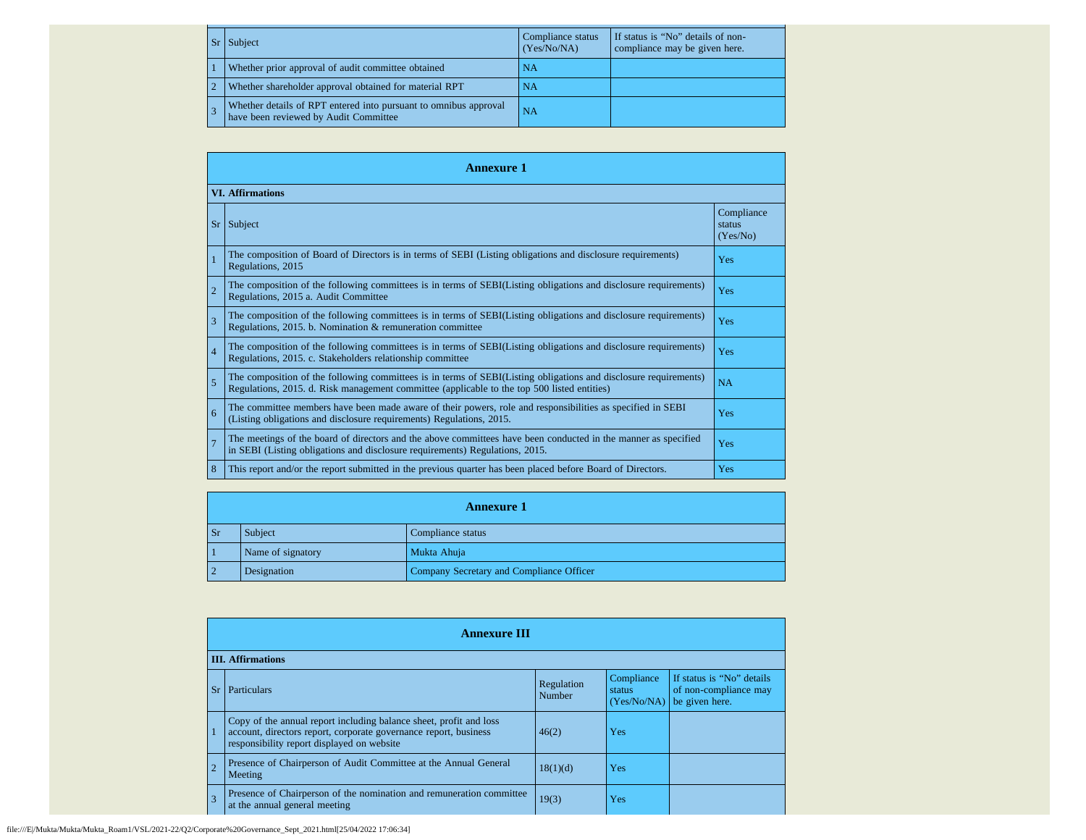| $ S_{\Gamma} $ | Subject                                                                                                   | Compliance status<br>(Yes/No/NA) | If status is "No" details of non-<br>compliance may be given here. |
|----------------|-----------------------------------------------------------------------------------------------------------|----------------------------------|--------------------------------------------------------------------|
|                | Whether prior approval of audit committee obtained                                                        | NA                               |                                                                    |
|                | Whether shareholder approval obtained for material RPT                                                    | <b>NA</b>                        |                                                                    |
|                | Whether details of RPT entered into pursuant to omnibus approval<br>have been reviewed by Audit Committee | NA                               |                                                                    |

|                | <b>Annexure 1</b>                                                                                                                                                                                               |                                  |  |  |  |  |  |
|----------------|-----------------------------------------------------------------------------------------------------------------------------------------------------------------------------------------------------------------|----------------------------------|--|--|--|--|--|
|                | <b>VI.</b> Affirmations                                                                                                                                                                                         |                                  |  |  |  |  |  |
| <b>Sr</b>      | Subject                                                                                                                                                                                                         | Compliance<br>status<br>(Yes/No) |  |  |  |  |  |
|                | The composition of Board of Directors is in terms of SEBI (Listing obligations and disclosure requirements)<br>Regulations, 2015                                                                                | Yes                              |  |  |  |  |  |
| $\overline{2}$ | The composition of the following committees is in terms of SEBI(Listing obligations and disclosure requirements)<br>Regulations, 2015 a. Audit Committee                                                        | Yes                              |  |  |  |  |  |
| 3              | The composition of the following committees is in terms of SEBI(Listing obligations and disclosure requirements)<br>Regulations, 2015. b. Nomination & remuneration committee                                   | Yes                              |  |  |  |  |  |
| $\overline{4}$ | The composition of the following committees is in terms of SEBI(Listing obligations and disclosure requirements)<br>Regulations, 2015. c. Stakeholders relationship committee                                   | Yes                              |  |  |  |  |  |
| 5              | The composition of the following committees is in terms of SEBI(Listing obligations and disclosure requirements)<br>Regulations, 2015. d. Risk management committee (applicable to the top 500 listed entities) | <b>NA</b>                        |  |  |  |  |  |
| 6              | The committee members have been made aware of their powers, role and responsibilities as specified in SEBI<br>(Listing obligations and disclosure requirements) Regulations, 2015.                              | Yes                              |  |  |  |  |  |
| $\overline{7}$ | The meetings of the board of directors and the above committees have been conducted in the manner as specified<br>in SEBI (Listing obligations and disclosure requirements) Regulations, 2015.                  | Yes                              |  |  |  |  |  |
| 8              | This report and/or the report submitted in the previous quarter has been placed before Board of Directors.                                                                                                      | Yes                              |  |  |  |  |  |

|                | <b>Annexure 1</b>            |                                          |  |  |  |  |  |
|----------------|------------------------------|------------------------------------------|--|--|--|--|--|
| <b>Sr</b>      | Subject<br>Compliance status |                                          |  |  |  |  |  |
|                | Name of signatory            | Mukta Ahuja                              |  |  |  |  |  |
| $\overline{2}$ | Designation                  | Company Secretary and Compliance Officer |  |  |  |  |  |

|                | <b>Annexure III</b>                                                                                                                                                                  |                      |                                     |                                                                      |  |  |  |
|----------------|--------------------------------------------------------------------------------------------------------------------------------------------------------------------------------------|----------------------|-------------------------------------|----------------------------------------------------------------------|--|--|--|
|                | <b>III.</b> Affirmations                                                                                                                                                             |                      |                                     |                                                                      |  |  |  |
|                | <b>Sr</b><br>Particulars                                                                                                                                                             | Regulation<br>Number | Compliance<br>status<br>(Yes/No/NA) | If status is "No" details<br>of non-compliance may<br>be given here. |  |  |  |
|                | Copy of the annual report including balance sheet, profit and loss<br>account, directors report, corporate governance report, business<br>responsibility report displayed on website | 46(2)                | Yes                                 |                                                                      |  |  |  |
| $\overline{2}$ | Presence of Chairperson of Audit Committee at the Annual General<br>Meeting                                                                                                          | 18(1)(d)             | Yes                                 |                                                                      |  |  |  |
| $\overline{3}$ | Presence of Chairperson of the nomination and remuneration committee<br>at the annual general meeting                                                                                | 19(3)                | Yes                                 |                                                                      |  |  |  |